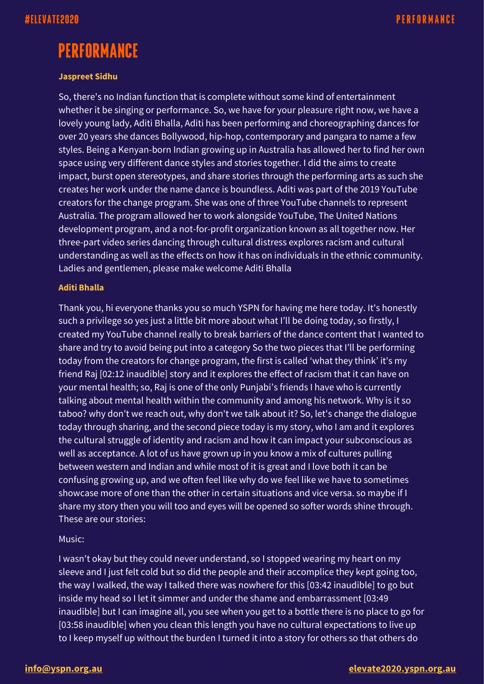# **PERFORMANCE**

### **Jaspreet Sidhu**

So, there's no Indian function that is complete without some kind of entertainment whether it be singing or performance. So, we have for your pleasure right now, we have a lovely young lady, Aditi Bhalla, Aditi has been performing and choreographing dances for over 20 years she dances Bollywood, hip-hop, contemporary and pangara to name a few styles. Being a Kenyan-born Indian growing up in Australia has allowed her to find her own space using very different dance styles and stories together. I did the aims to create impact, burst open stereotypes, and share stories through the performing arts as such she creates her work under the name dance is boundless. Aditi was part of the 2019 YouTube creators for the change program. She was one of three YouTube channels to represent Australia. The program allowed her to work alongside YouTube, The United Nations development program, and a not-for-profit organization known as all together now. Her three-part video series dancing through cultural distress explores racism and cultural understanding as well as the effects on how it has on individuals in the ethnic community. Ladies and gentlemen, please make welcome Aditi Bhalla

#### **Aditi Bhalla**

Thank you, hi everyone thanks you so much YSPN for having me here today. It's honestly such a privilege so yes just a little bit more about what I'll be doing today, so firstly, I created my YouTube channel really to break barriers of the dance content that I wanted to share and try to avoid being put into a category So the two pieces that I'll be performing today from the creators for change program, the first is called 'what they think' it's my friend Raj [02:12 inaudible] story and it explores the effect of racism that it can have on your mental health; so, Raj is one of the only Punjabi's friends I have who is currently talking about mental health within the community and among his network. Why is it so taboo? why don't we reach out, why don't we talk about it? So, let's change the dialogue today through sharing, and the second piece today is my story, who I am and it explores the cultural struggle of identity and racism and how it can impact your subconscious as well as acceptance. A lot of us have grown up in you know a mix of cultures pulling between western and Indian and while most of it is great and I love both it can be confusing growing up, and we often feel like why do we feel like we have to sometimes showcase more of one than the other in certain situations and vice versa. so maybe if I share my story then you will too and eyes will be opened so softer words shine through. These are our stories:

### Music:

I wasn't okay but they could never understand, so I stopped wearing my heart on my sleeve and I just felt cold but so did the people and their accomplice they kept going too, the way I walked, the way I talked there was nowhere for this [03:42 inaudible] to go but inside my head so I let it simmer and under the shame and embarrassment [03:49 inaudible] but I can imagine all, you see when you get to a bottle there is no place to go for [03:58 inaudible] when you clean this length you have no cultural expectations to live up to I keep myself up without the burden I turned it into a story for others so that others do